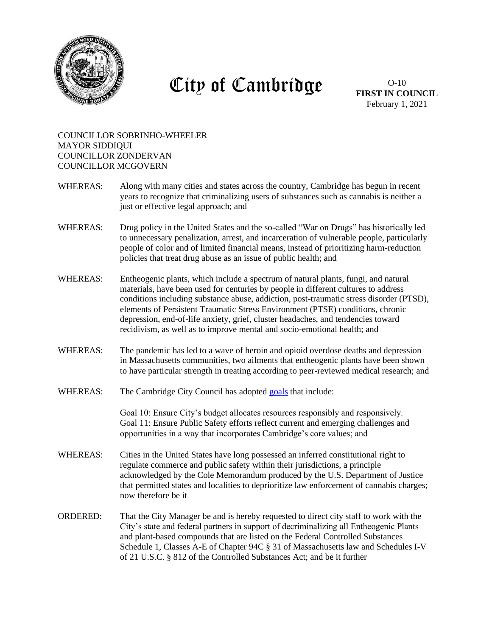

## City of Cambridge

O-10 **FIRST IN COUNCIL** February 1, 2021

## COUNCILLOR SOBRINHO-WHEELER MAYOR SIDDIQUI COUNCILLOR ZONDERVAN COUNCILLOR MCGOVERN

- WHEREAS: Along with many cities and states across the country, Cambridge has begun in recent years to recognize that criminalizing users of substances such as cannabis is neither a just or effective legal approach; and
- WHEREAS: Drug policy in the United States and the so-called "War on Drugs" has historically led to unnecessary penalization, arrest, and incarceration of vulnerable people, particularly people of color and of limited financial means, instead of prioritizing harm-reduction policies that treat drug abuse as an issue of public health; and
- WHEREAS: Entheogenic plants, which include a spectrum of natural plants, fungi, and natural materials, have been used for centuries by people in different cultures to address conditions including substance abuse, addiction, post-traumatic stress disorder (PTSD), elements of Persistent Traumatic Stress Environment (PTSE) conditions, chronic depression, end-of-life anxiety, grief, cluster headaches, and tendencies toward recidivism, as well as to improve mental and socio-emotional health; and
- WHEREAS: The pandemic has led to a wave of heroin and opioid overdose deaths and depression in Massachusetts communities, two ailments that entheogenic plants have been shown to have particular strength in treating according to peer-reviewed medical research; and
- WHEREAS: The Cambridge City Council has adopted [goals](https://www.cambridgema.gov/departments/citycouncil#:~:text=City%20Council%20Goals,Expand%20and%20deepen%20community%20engagement.) that include:

Goal 10: Ensure City's budget allocates resources responsibly and responsively. Goal 11: Ensure Public Safety efforts reflect current and emerging challenges and opportunities in a way that incorporates Cambridge's core values; and

- WHEREAS: Cities in the United States have long possessed an inferred constitutional right to regulate commerce and public safety within their jurisdictions, a principle acknowledged by the Cole Memorandum produced by the U.S. Department of Justice that permitted states and localities to deprioritize law enforcement of cannabis charges; now therefore be it
- ORDERED: That the City Manager be and is hereby requested to direct city staff to work with the City's state and federal partners in support of decriminalizing all Entheogenic Plants and plant-based compounds that are listed on the Federal Controlled Substances Schedule 1, Classes A-E of Chapter 94C § 31 of Massachusetts law and Schedules I-V of 21 U.S.C. § 812 of the Controlled Substances Act; and be it further